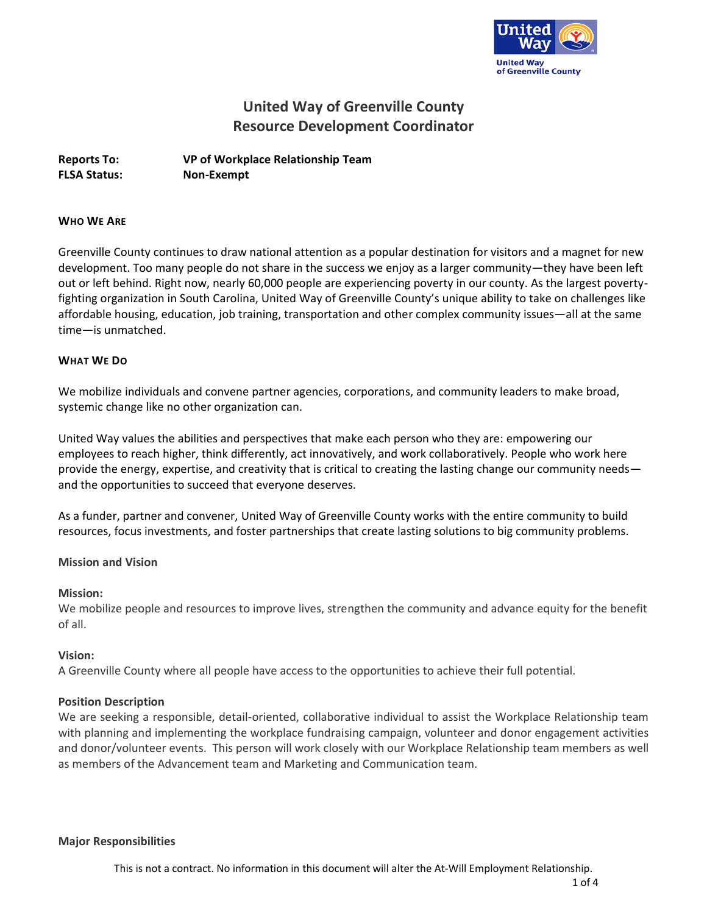

# **United Way of Greenville County Resource Development Coordinator**

**Reports To: VP of Workplace Relationship Team FLSA Status: Non-Exempt**

#### **WHO WE ARE**

Greenville County continues to draw national attention as a popular destination for visitors and a magnet for new development. Too many people do not share in the success we enjoy as a larger community—they have been left out or left behind. Right now, nearly 60,000 people are experiencing poverty in our county. As the largest povertyfighting organization in South Carolina, United Way of Greenville County's unique ability to take on challenges like affordable housing, education, job training, transportation and other complex community issues—all at the same time—is unmatched.

#### **WHAT WE DO**

We mobilize individuals and convene partner agencies, corporations, and community leaders to make broad, systemic change like no other organization can.

United Way values the abilities and perspectives that make each person who they are: empowering our employees to reach higher, think differently, act innovatively, and work collaboratively. People who work here provide the energy, expertise, and creativity that is critical to creating the lasting change our community needs and the opportunities to succeed that everyone deserves.

As a funder, partner and convener, United Way of Greenville County works with the entire community to build resources, focus investments, and foster partnerships that create lasting solutions to big community problems.

#### **Mission and Vision**

#### **Mission:**

We mobilize people and resources to improve lives, strengthen the community and advance equity for the benefit of all.

#### **Vision:**

A Greenville County where all people have access to the opportunities to achieve their full potential.

#### **Position Description**

We are seeking a responsible, detail-oriented, collaborative individual to assist the Workplace Relationship team with planning and implementing the workplace fundraising campaign, volunteer and donor engagement activities and donor/volunteer events. This person will work closely with our Workplace Relationship team members as well as members of the Advancement team and Marketing and Communication team.

#### **Major Responsibilities**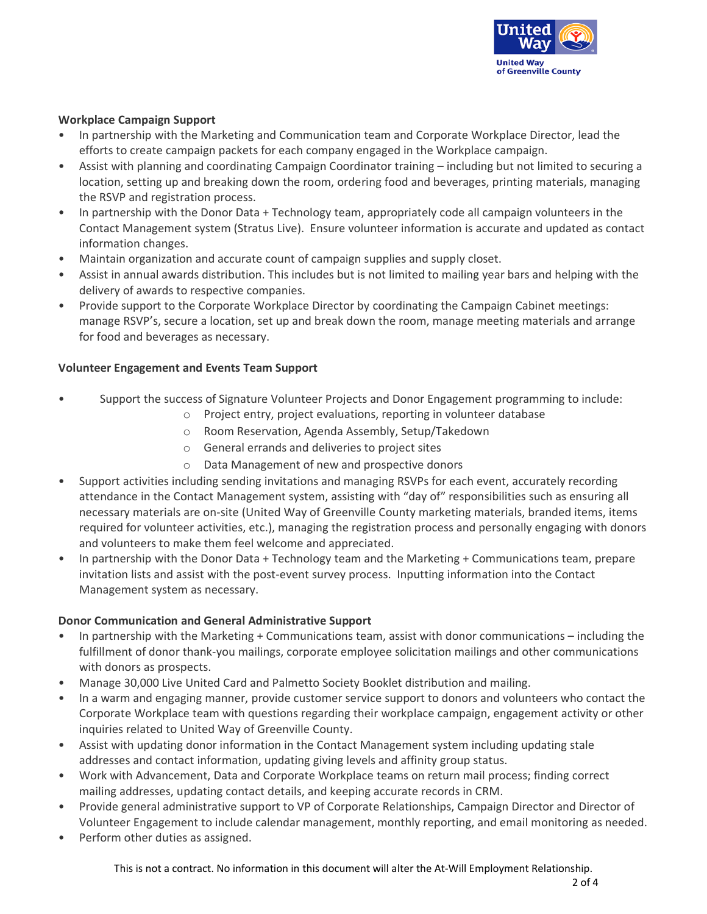

# **Workplace Campaign Support**

- In partnership with the Marketing and Communication team and Corporate Workplace Director, lead the efforts to create campaign packets for each company engaged in the Workplace campaign.
- Assist with planning and coordinating Campaign Coordinator training including but not limited to securing a location, setting up and breaking down the room, ordering food and beverages, printing materials, managing the RSVP and registration process.
- In partnership with the Donor Data + Technology team, appropriately code all campaign volunteers in the Contact Management system (Stratus Live). Ensure volunteer information is accurate and updated as contact information changes.
- Maintain organization and accurate count of campaign supplies and supply closet.
- Assist in annual awards distribution. This includes but is not limited to mailing year bars and helping with the delivery of awards to respective companies.
- Provide support to the Corporate Workplace Director by coordinating the Campaign Cabinet meetings: manage RSVP's, secure a location, set up and break down the room, manage meeting materials and arrange for food and beverages as necessary.

# **Volunteer Engagement and Events Team Support**

- Support the success of Signature Volunteer Projects and Donor Engagement programming to include:
	- o Project entry, project evaluations, reporting in volunteer database
	- o Room Reservation, Agenda Assembly, Setup/Takedown
	- o General errands and deliveries to project sites
	- o Data Management of new and prospective donors
- Support activities including sending invitations and managing RSVPs for each event, accurately recording attendance in the Contact Management system, assisting with "day of" responsibilities such as ensuring all necessary materials are on-site (United Way of Greenville County marketing materials, branded items, items required for volunteer activities, etc.), managing the registration process and personally engaging with donors and volunteers to make them feel welcome and appreciated.
- In partnership with the Donor Data + Technology team and the Marketing + Communications team, prepare invitation lists and assist with the post-event survey process. Inputting information into the Contact Management system as necessary.

## **Donor Communication and General Administrative Support**

- In partnership with the Marketing + Communications team, assist with donor communications including the fulfillment of donor thank-you mailings, corporate employee solicitation mailings and other communications with donors as prospects.
- Manage 30,000 Live United Card and Palmetto Society Booklet distribution and mailing.
- In a warm and engaging manner, provide customer service support to donors and volunteers who contact the Corporate Workplace team with questions regarding their workplace campaign, engagement activity or other inquiries related to United Way of Greenville County.
- Assist with updating donor information in the Contact Management system including updating stale addresses and contact information, updating giving levels and affinity group status.
- Work with Advancement, Data and Corporate Workplace teams on return mail process; finding correct mailing addresses, updating contact details, and keeping accurate records in CRM.
- Provide general administrative support to VP of Corporate Relationships, Campaign Director and Director of Volunteer Engagement to include calendar management, monthly reporting, and email monitoring as needed.
- Perform other duties as assigned.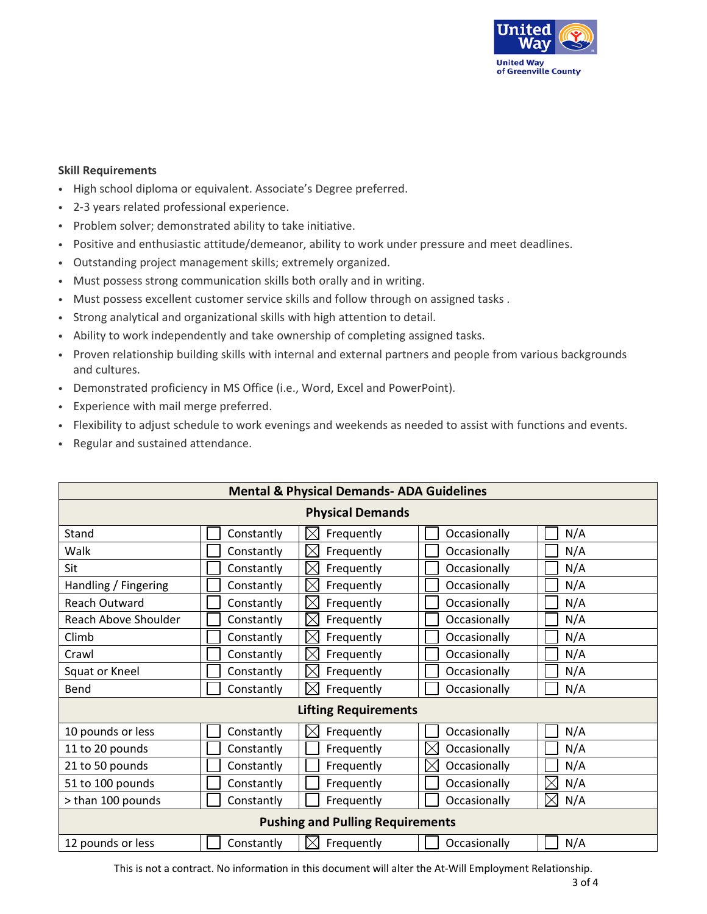

## **Skill Requirements**

- High school diploma or equivalent. Associate's Degree preferred.
- 2-3 years related professional experience.
- Problem solver; demonstrated ability to take initiative.
- Positive and enthusiastic attitude/demeanor, ability to work under pressure and meet deadlines.
- Outstanding project management skills; extremely organized.
- Must possess strong communication skills both orally and in writing.
- Must possess excellent customer service skills and follow through on assigned tasks .
- Strong analytical and organizational skills with high attention to detail.
- Ability to work independently and take ownership of completing assigned tasks.
- Proven relationship building skills with internal and external partners and people from various backgrounds and cultures.
- Demonstrated proficiency in MS Office (i.e., Word, Excel and PowerPoint).
- Experience with mail merge preferred.
- Flexibility to adjust schedule to work evenings and weekends as needed to assist with functions and events.
- Regular and sustained attendance.

| <b>Mental &amp; Physical Demands- ADA Guidelines</b> |            |                           |                          |           |  |  |  |
|------------------------------------------------------|------------|---------------------------|--------------------------|-----------|--|--|--|
| <b>Physical Demands</b>                              |            |                           |                          |           |  |  |  |
| Stand                                                | Constantly | Frequently<br>ΙX          | Occasionally             | N/A       |  |  |  |
| Walk                                                 | Constantly | $\boxtimes$<br>Frequently | Occasionally             | N/A       |  |  |  |
| Sit                                                  | Constantly | $\boxtimes$<br>Frequently | Occasionally             | N/A       |  |  |  |
| Handling / Fingering                                 | Constantly | Frequently<br>IX          | Occasionally             | N/A       |  |  |  |
| Reach Outward                                        | Constantly | $\boxtimes$<br>Frequently | Occasionally             | N/A       |  |  |  |
| Reach Above Shoulder                                 | Constantly | $\boxtimes$<br>Frequently | Occasionally             | N/A       |  |  |  |
| Climb                                                | Constantly | $\boxtimes$<br>Frequently | Occasionally             | N/A       |  |  |  |
| Crawl                                                | Constantly | IX<br>Frequently          | Occasionally             | N/A       |  |  |  |
| Squat or Kneel                                       | Constantly | $\Join$<br>Frequently     | Occasionally             | N/A       |  |  |  |
| Bend                                                 | Constantly | IX<br>Frequently          | Occasionally             | N/A       |  |  |  |
| <b>Lifting Requirements</b>                          |            |                           |                          |           |  |  |  |
| 10 pounds or less                                    | Constantly | IX<br>Frequently          | Occasionally             | N/A       |  |  |  |
| 11 to 20 pounds                                      | Constantly | Frequently                | $\times$<br>Occasionally | N/A       |  |  |  |
| 21 to 50 pounds                                      | Constantly | Frequently                | $\times$<br>Occasionally | N/A       |  |  |  |
| 51 to 100 pounds                                     | Constantly | Frequently                | Occasionally             | N/A       |  |  |  |
| > than 100 pounds                                    | Constantly | Frequently                | Occasionally             | N/A<br>IX |  |  |  |
| <b>Pushing and Pulling Requirements</b>              |            |                           |                          |           |  |  |  |
| 12 pounds or less                                    | Constantly | Frequently<br>IXI         | Occasionally             | N/A       |  |  |  |

This is not a contract. No information in this document will alter the At-Will Employment Relationship.